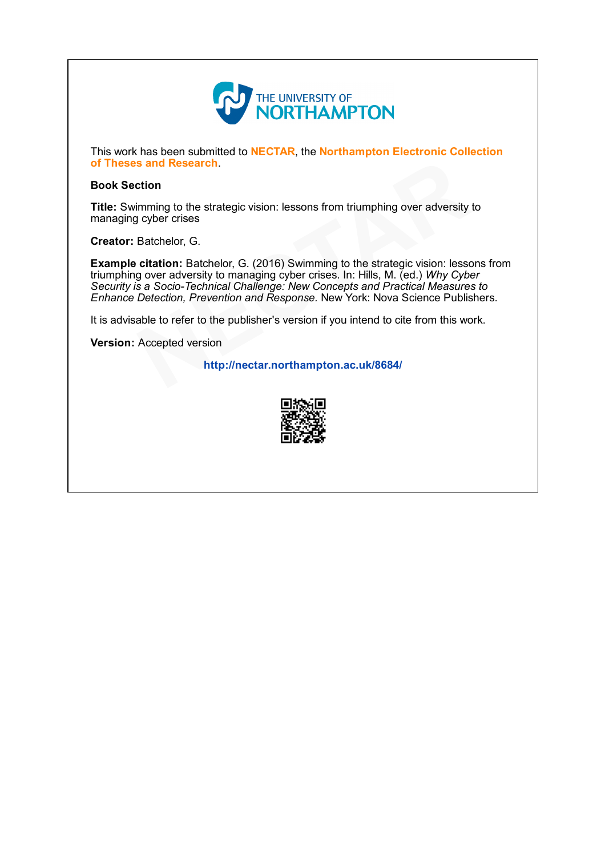

This work has been submitted to NECTAR, the Northampton Electronic Collection of Theses and Research.

### Book Section

Title: Swimming to the strategic vision: lessons from triumphing over adversity to managing cyber crises

Creator: Batchelor, G.

Example citation: Batchelor, G. (2016) Swimming to the strategic vision: lessons from triumphing over adversity to managing cyber crises. In: Hills, M. (ed.) Why Cyber Security is a Socio-Technical Challenge: New Concepts and Practical Measures to Enhance Detection, Prevention and Response. New York: Nova Science Publishers. **Community of Theses and Research.**<br> **Example citation:** Batter vision: lessons from triumphing over adversity to managing cyber crises<br> **Creator:** Batchelor, G. (2016) Swimming to the strategic vision: lessons<br>
triumphing

It is advisable to refer to the publisher's version if you intend to cite from this work.

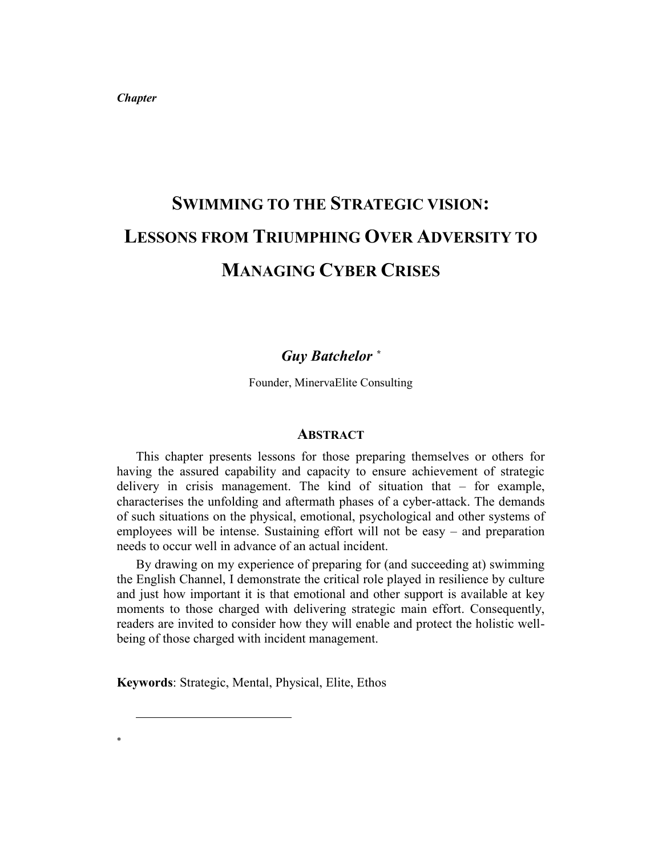*Chapter* 

# **SWIMMING TO THE STRATEGIC VISION: LESSONS FROM TRIUMPHING OVER ADVERSITY TO MANAGING CYBER CRISES**

## *Guy Batchelor \**

Founder, MinervaElite Consulting

### **ABSTRACT**

This chapter presents lessons for those preparing themselves or others for having the assured capability and capacity to ensure achievement of strategic delivery in crisis management. The kind of situation that – for example, characterises the unfolding and aftermath phases of a cyber-attack. The demands of such situations on the physical, emotional, psychological and other systems of employees will be intense. Sustaining effort will not be easy – and preparation needs to occur well in advance of an actual incident.

By drawing on my experience of preparing for (and succeeding at) swimming the English Channel, I demonstrate the critical role played in resilience by culture and just how important it is that emotional and other support is available at key moments to those charged with delivering strategic main effort. Consequently, readers are invited to consider how they will enable and protect the holistic wellbeing of those charged with incident management.

**Keywords**: Strategic, Mental, Physical, Elite, Ethos

-

\*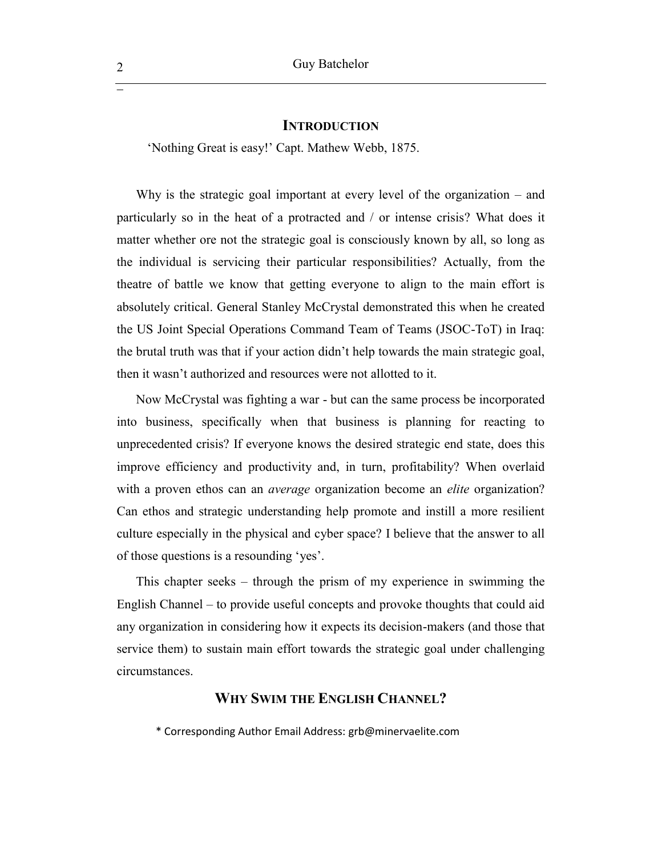#### **INTRODUCTION**

'Nothing Great is easy!' Capt. Mathew Webb, 1875.

Why is the strategic goal important at every level of the organization – and particularly so in the heat of a protracted and / or intense crisis? What does it matter whether ore not the strategic goal is consciously known by all, so long as the individual is servicing their particular responsibilities? Actually, from the theatre of battle we know that getting everyone to align to the main effort is absolutely critical. General Stanley McCrystal demonstrated this when he created the US Joint Special Operations Command Team of Teams (JSOC-ToT) in Iraq: the brutal truth was that if your action didn't help towards the main strategic goal, then it wasn't authorized and resources were not allotted to it.

Now McCrystal was fighting a war - but can the same process be incorporated into business, specifically when that business is planning for reacting to unprecedented crisis? If everyone knows the desired strategic end state, does this improve efficiency and productivity and, in turn, profitability? When overlaid with a proven ethos can an *average* organization become an *elite* organization? Can ethos and strategic understanding help promote and instill a more resilient culture especially in the physical and cyber space? I believe that the answer to all of those questions is a resounding 'yes'.

This chapter seeks – through the prism of my experience in swimming the English Channel – to provide useful concepts and provoke thoughts that could aid any organization in considering how it expects its decision-makers (and those that service them) to sustain main effort towards the strategic goal under challenging circumstances.

## **WHY SWIM THE ENGLISH CHANNEL?**

\* Corresponding Author Email Address: grb@minervaelite.com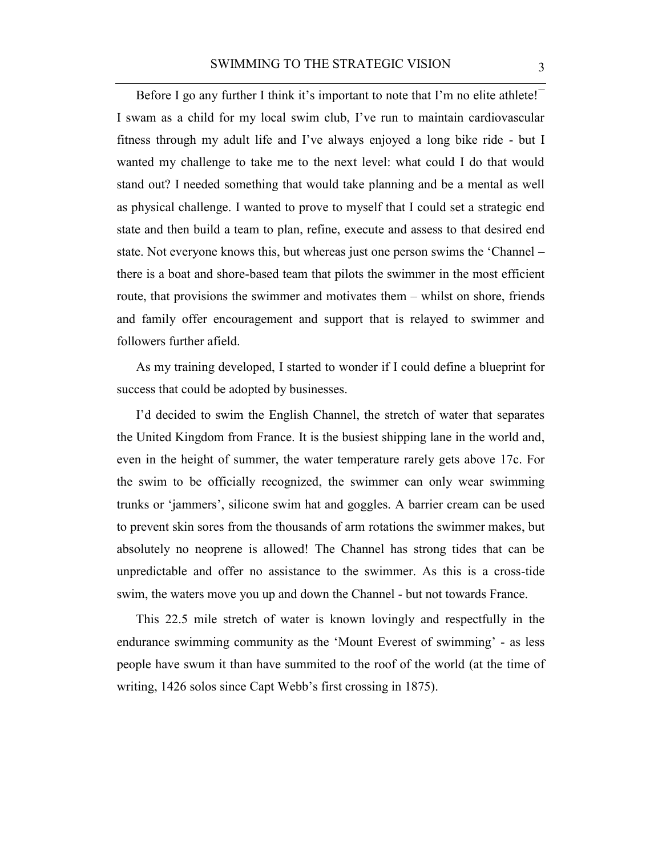Before I go any further I think it's important to note that I'm no elite athlete! I swam as a child for my local swim club, I've run to maintain cardiovascular fitness through my adult life and I've always enjoyed a long bike ride - but I wanted my challenge to take me to the next level: what could I do that would stand out? I needed something that would take planning and be a mental as well as physical challenge. I wanted to prove to myself that I could set a strategic end state and then build a team to plan, refine, execute and assess to that desired end state. Not everyone knows this, but whereas just one person swims the 'Channel – there is a boat and shore-based team that pilots the swimmer in the most efficient route, that provisions the swimmer and motivates them – whilst on shore, friends and family offer encouragement and support that is relayed to swimmer and followers further afield.

As my training developed, I started to wonder if I could define a blueprint for success that could be adopted by businesses.

I'd decided to swim the English Channel, the stretch of water that separates the United Kingdom from France. It is the busiest shipping lane in the world and, even in the height of summer, the water temperature rarely gets above 17c. For the swim to be officially recognized, the swimmer can only wear swimming trunks or 'jammers', silicone swim hat and goggles. A barrier cream can be used to prevent skin sores from the thousands of arm rotations the swimmer makes, but absolutely no neoprene is allowed! The Channel has strong tides that can be unpredictable and offer no assistance to the swimmer. As this is a cross-tide swim, the waters move you up and down the Channel - but not towards France.

This 22.5 mile stretch of water is known lovingly and respectfully in the endurance swimming community as the 'Mount Everest of swimming' - as less people have swum it than have summited to the roof of the world (at the time of writing, 1426 solos since Capt Webb's first crossing in 1875).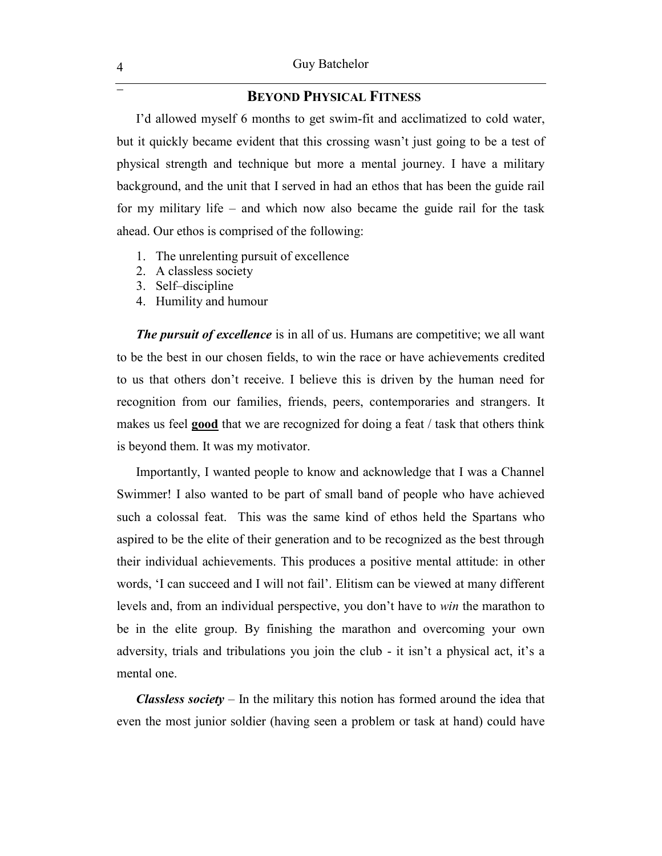## **BEYOND PHYSICAL FITNESS**

I'd allowed myself 6 months to get swim-fit and acclimatized to cold water, but it quickly became evident that this crossing wasn't just going to be a test of physical strength and technique but more a mental journey. I have a military background, and the unit that I served in had an ethos that has been the guide rail for my military life – and which now also became the guide rail for the task ahead. Our ethos is comprised of the following:

- 1. The unrelenting pursuit of excellence
- 2. A classless society
- 3. Self–discipline
- 4. Humility and humour

*The pursuit of excellence* is in all of us. Humans are competitive; we all want to be the best in our chosen fields, to win the race or have achievements credited to us that others don't receive. I believe this is driven by the human need for recognition from our families, friends, peers, contemporaries and strangers. It makes us feel **good** that we are recognized for doing a feat / task that others think is beyond them. It was my motivator.

Importantly, I wanted people to know and acknowledge that I was a Channel Swimmer! I also wanted to be part of small band of people who have achieved such a colossal feat. This was the same kind of ethos held the Spartans who aspired to be the elite of their generation and to be recognized as the best through their individual achievements. This produces a positive mental attitude: in other words, 'I can succeed and I will not fail'. Elitism can be viewed at many different levels and, from an individual perspective, you don't have to *win* the marathon to be in the elite group. By finishing the marathon and overcoming your own adversity, trials and tribulations you join the club - it isn't a physical act, it's a mental one.

*Classless society* – In the military this notion has formed around the idea that even the most junior soldier (having seen a problem or task at hand) could have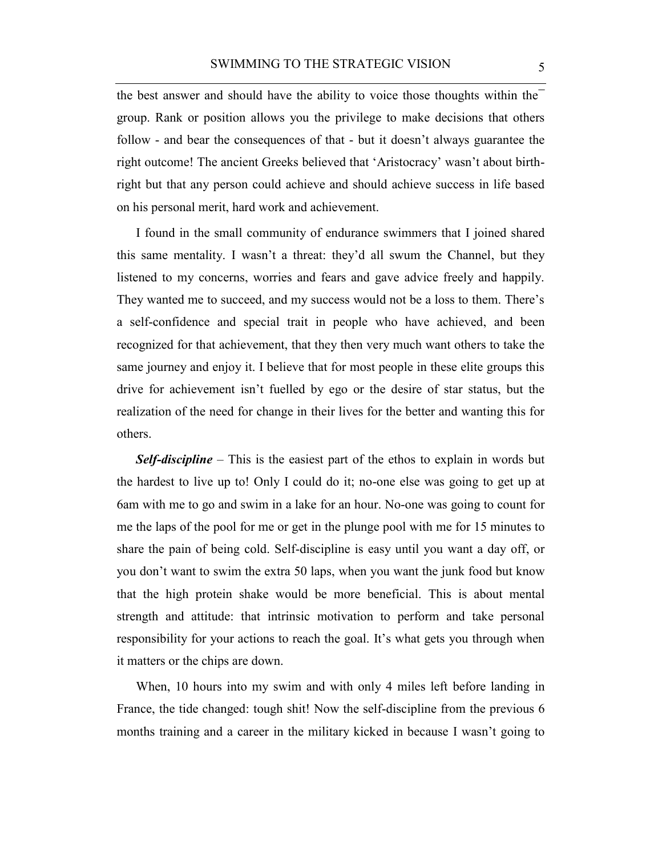the best answer and should have the ability to voice those thoughts within the group. Rank or position allows you the privilege to make decisions that others follow - and bear the consequences of that - but it doesn't always guarantee the right outcome! The ancient Greeks believed that 'Aristocracy' wasn't about birthright but that any person could achieve and should achieve success in life based on his personal merit, hard work and achievement.

I found in the small community of endurance swimmers that I joined shared this same mentality. I wasn't a threat: they'd all swum the Channel, but they listened to my concerns, worries and fears and gave advice freely and happily. They wanted me to succeed, and my success would not be a loss to them. There's a self-confidence and special trait in people who have achieved, and been recognized for that achievement, that they then very much want others to take the same journey and enjoy it. I believe that for most people in these elite groups this drive for achievement isn't fuelled by ego or the desire of star status, but the realization of the need for change in their lives for the better and wanting this for others.

*Self-discipline* – This is the easiest part of the ethos to explain in words but the hardest to live up to! Only I could do it; no-one else was going to get up at 6am with me to go and swim in a lake for an hour. No-one was going to count for me the laps of the pool for me or get in the plunge pool with me for 15 minutes to share the pain of being cold. Self-discipline is easy until you want a day off, or you don't want to swim the extra 50 laps, when you want the junk food but know that the high protein shake would be more beneficial. This is about mental strength and attitude: that intrinsic motivation to perform and take personal responsibility for your actions to reach the goal. It's what gets you through when it matters or the chips are down.

When, 10 hours into my swim and with only 4 miles left before landing in France, the tide changed: tough shit! Now the self-discipline from the previous 6 months training and a career in the military kicked in because I wasn't going to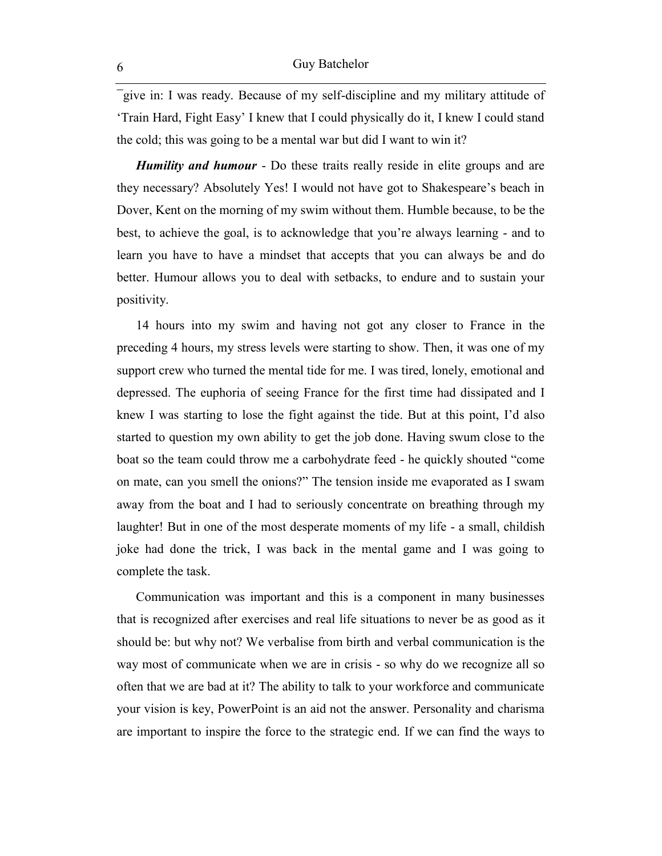give in: I was ready. Because of my self-discipline and my military attitude of 'Train Hard, Fight Easy' I knew that I could physically do it, I knew I could stand the cold; this was going to be a mental war but did I want to win it?

*Humility and humour* - Do these traits really reside in elite groups and are they necessary? Absolutely Yes! I would not have got to Shakespeare's beach in Dover, Kent on the morning of my swim without them. Humble because, to be the best, to achieve the goal, is to acknowledge that you're always learning - and to learn you have to have a mindset that accepts that you can always be and do better. Humour allows you to deal with setbacks, to endure and to sustain your positivity.

14 hours into my swim and having not got any closer to France in the preceding 4 hours, my stress levels were starting to show. Then, it was one of my support crew who turned the mental tide for me. I was tired, lonely, emotional and depressed. The euphoria of seeing France for the first time had dissipated and I knew I was starting to lose the fight against the tide. But at this point, I'd also started to question my own ability to get the job done. Having swum close to the boat so the team could throw me a carbohydrate feed - he quickly shouted "come on mate, can you smell the onions?" The tension inside me evaporated as I swam away from the boat and I had to seriously concentrate on breathing through my laughter! But in one of the most desperate moments of my life - a small, childish joke had done the trick, I was back in the mental game and I was going to complete the task.

Communication was important and this is a component in many businesses that is recognized after exercises and real life situations to never be as good as it should be: but why not? We verbalise from birth and verbal communication is the way most of communicate when we are in crisis - so why do we recognize all so often that we are bad at it? The ability to talk to your workforce and communicate your vision is key, PowerPoint is an aid not the answer. Personality and charisma are important to inspire the force to the strategic end. If we can find the ways to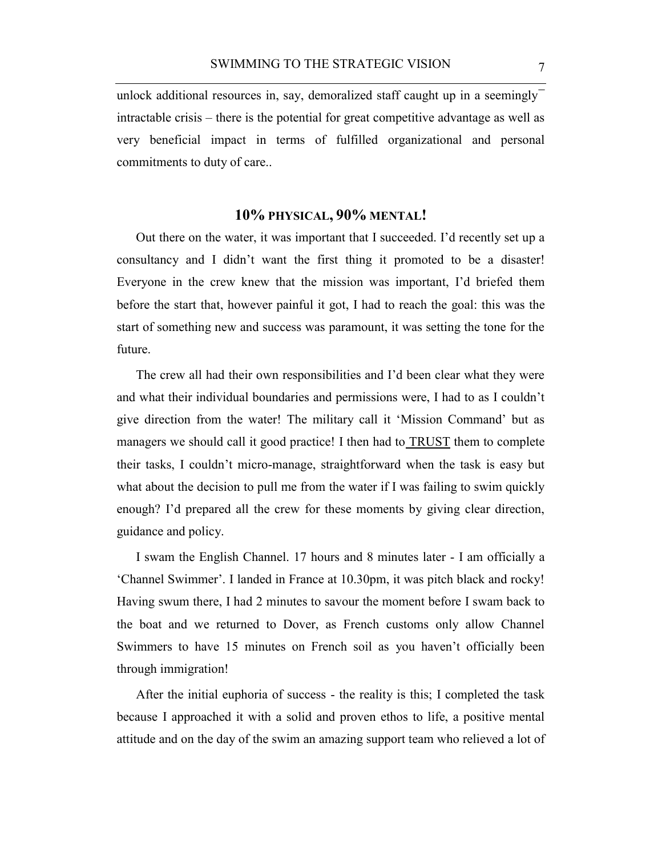unlock additional resources in, say, demoralized staff caught up in a seemingly intractable crisis – there is the potential for great competitive advantage as well as very beneficial impact in terms of fulfilled organizational and personal commitments to duty of care..

## **10% PHYSICAL, 90% MENTAL!**

Out there on the water, it was important that I succeeded. I'd recently set up a consultancy and I didn't want the first thing it promoted to be a disaster! Everyone in the crew knew that the mission was important, I'd briefed them before the start that, however painful it got, I had to reach the goal: this was the start of something new and success was paramount, it was setting the tone for the future.

The crew all had their own responsibilities and I'd been clear what they were and what their individual boundaries and permissions were, I had to as I couldn't give direction from the water! The military call it 'Mission Command' but as managers we should call it good practice! I then had to TRUST them to complete their tasks, I couldn't micro-manage, straightforward when the task is easy but what about the decision to pull me from the water if I was failing to swim quickly enough? I'd prepared all the crew for these moments by giving clear direction, guidance and policy.

I swam the English Channel. 17 hours and 8 minutes later - I am officially a 'Channel Swimmer'. I landed in France at 10.30pm, it was pitch black and rocky! Having swum there, I had 2 minutes to savour the moment before I swam back to the boat and we returned to Dover, as French customs only allow Channel Swimmers to have 15 minutes on French soil as you haven't officially been through immigration!

After the initial euphoria of success - the reality is this; I completed the task because I approached it with a solid and proven ethos to life, a positive mental attitude and on the day of the swim an amazing support team who relieved a lot of